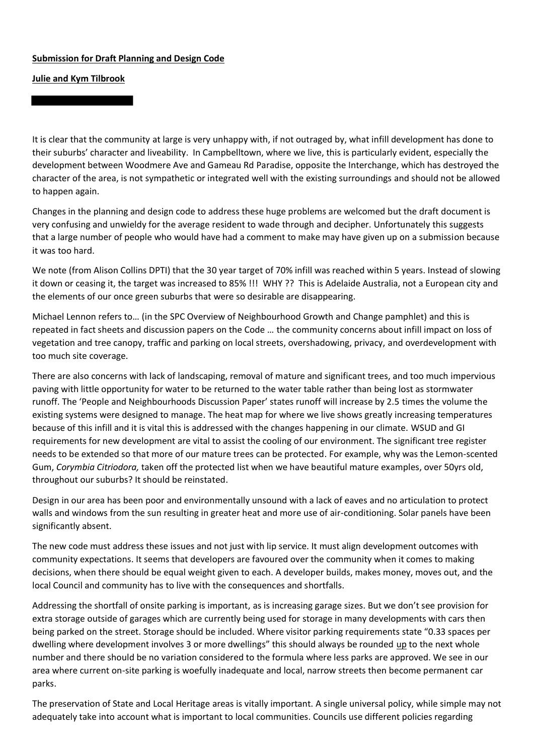## **Submission for Draft Planning and Design Code**

## **Julie and Kym Tilbrook**

It is clear that the community at large is very unhappy with, if not outraged by, what infill development has done to their suburbs' character and liveability. In Campbelltown, where we live, this is particularly evident, especially the development between Woodmere Ave and Gameau Rd Paradise, opposite the Interchange, which has destroyed the character of the area, is not sympathetic or integrated well with the existing surroundings and should not be allowed to happen again.

Changes in the planning and design code to address these huge problems are welcomed but the draft document is very confusing and unwieldy for the average resident to wade through and decipher. Unfortunately this suggests that a large number of people who would have had a comment to make may have given up on a submission because it was too hard.

We note (from Alison Collins DPTI) that the 30 year target of 70% infill was reached within 5 years. Instead of slowing it down or ceasing it, the target was increased to 85% !!! WHY ?? This is Adelaide Australia, not a European city and the elements of our once green suburbs that were so desirable are disappearing.

Michael Lennon refers to… (in the SPC Overview of Neighbourhood Growth and Change pamphlet) and this is repeated in fact sheets and discussion papers on the Code … the community concerns about infill impact on loss of vegetation and tree canopy, traffic and parking on local streets, overshadowing, privacy, and overdevelopment with too much site coverage.

There are also concerns with lack of landscaping, removal of mature and significant trees, and too much impervious paving with little opportunity for water to be returned to the water table rather than being lost as stormwater runoff. The 'People and Neighbourhoods Discussion Paper' states runoff will increase by 2.5 times the volume the existing systems were designed to manage. The heat map for where we live shows greatly increasing temperatures because of this infill and it is vital this is addressed with the changes happening in our climate. WSUD and GI requirements for new development are vital to assist the cooling of our environment. The significant tree register needs to be extended so that more of our mature trees can be protected. For example, why was the Lemon-scented Gum, *Corymbia Citriodora,* taken off the protected list when we have beautiful mature examples, over 50yrs old, throughout our suburbs? It should be reinstated.

Design in our area has been poor and environmentally unsound with a lack of eaves and no articulation to protect walls and windows from the sun resulting in greater heat and more use of air-conditioning. Solar panels have been significantly absent.

The new code must address these issues and not just with lip service. It must align development outcomes with community expectations. It seems that developers are favoured over the community when it comes to making decisions, when there should be equal weight given to each. A developer builds, makes money, moves out, and the local Council and community has to live with the consequences and shortfalls.

Addressing the shortfall of onsite parking is important, as is increasing garage sizes. But we don't see provision for extra storage outside of garages which are currently being used for storage in many developments with cars then being parked on the street. Storage should be included. Where visitor parking requirements state "0.33 spaces per dwelling where development involves 3 or more dwellings" this should always be rounded up to the next whole number and there should be no variation considered to the formula where less parks are approved. We see in our area where current on-site parking is woefully inadequate and local, narrow streets then become permanent car parks.

The preservation of State and Local Heritage areas is vitally important. A single universal policy, while simple may not adequately take into account what is important to local communities. Councils use different policies regarding